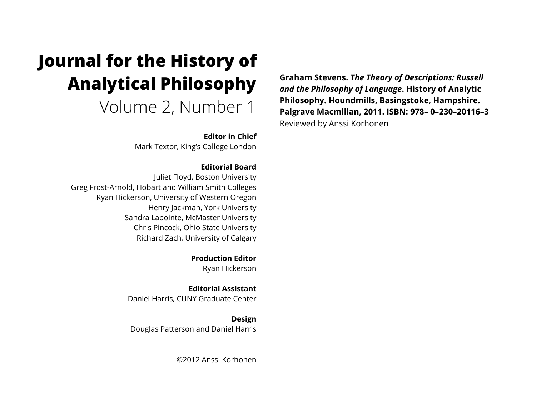# **Journal for the History of Analytical Philosophy**  Volume 2, Number 1

**Editor in Chief**

Mark Textor, King's College London

**Editorial Board**

Juliet Floyd, Boston University Greg Frost-Arnold, Hobart and William Smith Colleges Ryan Hickerson, University of Western Oregon Henry Jackman, York University Sandra Lapointe, McMaster University Chris Pincock, Ohio State University Richard Zach, University of Calgary

> **Production Editor** Ryan Hickerson

**Editorial Assistant** Daniel Harris, CUNY Graduate Center

**Design** Douglas Patterson and Daniel Harris

©2012 Anssi Korhonen

**Graham Stevens.** *The Theory of Descriptions: Russell and the Philosophy of Language***. History of Analytic Philosophy. Houndmills, Basingstoke, Hampshire. Palgrave Macmillan, 2011. ISBN: 978– 0–230–20116–3** Reviewed by Anssi Korhonen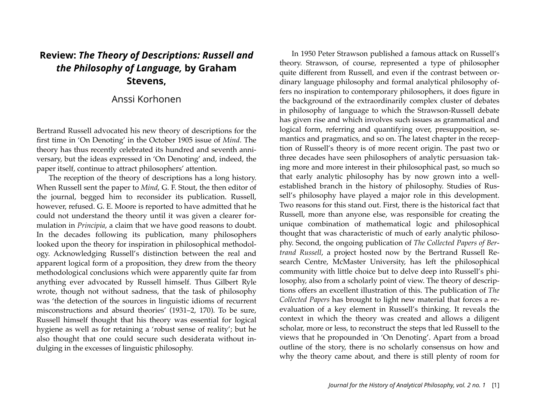## **Review:** *The Theory of Descriptions: Russell and the Philosophy of Language,* **by Graham Stevens,**

## Anssi Korhonen

Bertrand Russell advocated his new theory of descriptions for the first time in 'On Denoting' in the October 1905 issue of *Mind*. The theory has thus recently celebrated its hundred and seventh anniversary, but the ideas expressed in 'On Denoting' and, indeed, the paper itself, continue to attract philosophers' attention.

The reception of the theory of descriptions has a long history. When Russell sent the paper to *Mind*, G. F. Stout, the then editor of the journal, begged him to reconsider its publication. Russell, however, refused. G. E. Moore is reported to have admitted that he could not understand the theory until it was given a clearer formulation in *Principia*, a claim that we have good reasons to doubt. In the decades following its publication, many philosophers looked upon the theory for inspiration in philosophical methodology. Acknowledging Russell's distinction between the real and apparent logical form of a proposition, they drew from the theory methodological conclusions which were apparently quite far from anything ever advocated by Russell himself. Thus Gilbert Ryle wrote, though not without sadness, that the task of philosophy was 'the detection of the sources in linguistic idioms of recurrent misconstructions and absurd theories' (1931–2, 170). To be sure, Russell himself thought that his theory was essential for logical hygiene as well as for retaining a 'robust sense of reality'; but he also thought that one could secure such desiderata without indulging in the excesses of linguistic philosophy.

In 1950 Peter Strawson published a famous attack on Russell's theory. Strawson, of course, represented a type of philosopher quite different from Russell, and even if the contrast between ordinary language philosophy and formal analytical philosophy offers no inspiration to contemporary philosophers, it does figure in the background of the extraordinarily complex cluster of debates in philosophy of language to which the Strawson-Russell debate has given rise and which involves such issues as grammatical and logical form, referring and quantifying over, presupposition, semantics and pragmatics, and so on. The latest chapter in the reception of Russell's theory is of more recent origin. The past two or three decades have seen philosophers of analytic persuasion taking more and more interest in their philosophical past, so much so that early analytic philosophy has by now grown into a wellestablished branch in the history of philosophy. Studies of Russell's philosophy have played a major role in this development. Two reasons for this stand out. First, there is the historical fact that Russell, more than anyone else, was responsible for creating the unique combination of mathematical logic and philosophical thought that was characteristic of much of early analytic philosophy. Second, the ongoing publication of *The Collected Papers of Bertrand Russell*, a project hosted now by the Bertrand Russell Research Centre, McMaster University, has left the philosophical community with little choice but to delve deep into Russell's philosophy, also from a scholarly point of view. The theory of descriptions offers an excellent illustration of this. The publication of *The Collected Papers* has brought to light new material that forces a reevaluation of a key element in Russell's thinking. It reveals the context in which the theory was created and allows a diligent scholar, more or less, to reconstruct the steps that led Russell to the views that he propounded in 'On Denoting'. Apart from a broad outline of the story, there is no scholarly consensus on how and why the theory came about, and there is still plenty of room for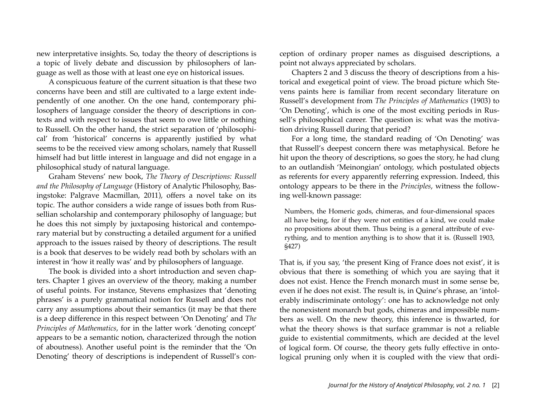new interpretative insights. So, today the theory of descriptions is a topic of lively debate and discussion by philosophers of language as well as those with at least one eye on historical issues.

A conspicuous feature of the current situation is that these two concerns have been and still are cultivated to a large extent independently of one another. On the one hand, contemporary philosophers of language consider the theory of descriptions in contexts and with respect to issues that seem to owe little or nothing to Russell. On the other hand, the strict separation of 'philosophical' from 'historical' concerns is apparently justified by what seems to be the received view among scholars, namely that Russell himself had but little interest in language and did not engage in a philosophical study of natural language.

Graham Stevens' new book, *The Theory of Descriptions: Russell and the Philosophy of Language* (History of Analytic Philosophy, Basingstoke: Palgrave Macmillan, 2011), offers a novel take on its topic. The author considers a wide range of issues both from Russellian scholarship and contemporary philosophy of language; but he does this not simply by juxtaposing historical and contemporary material but by constructing a detailed argument for a unified approach to the issues raised by theory of descriptions. The result is a book that deserves to be widely read both by scholars with an interest in 'how it really was' and by philosophers of language.

The book is divided into a short introduction and seven chapters. Chapter 1 gives an overview of the theory, making a number of useful points. For instance, Stevens emphasizes that 'denoting phrases' is a purely grammatical notion for Russell and does not carry any assumptions about their semantics (it may be that there is a deep difference in this respect between 'On Denoting' and *The Principles of Mathematics*, for in the latter work 'denoting concept' appears to be a semantic notion, characterized through the notion of aboutness). Another useful point is the reminder that the 'On Denoting' theory of descriptions is independent of Russell's conception of ordinary proper names as disguised descriptions, a point not always appreciated by scholars.

Chapters 2 and 3 discuss the theory of descriptions from a historical and exegetical point of view. The broad picture which Stevens paints here is familiar from recent secondary literature on Russell's development from *The Principles of Mathematics* (1903) to 'On Denoting', which is one of the most exciting periods in Russell's philosophical career. The question is: what was the motivation driving Russell during that period?

For a long time, the standard reading of 'On Denoting' was that Russell's deepest concern there was metaphysical. Before he hit upon the theory of descriptions, so goes the story, he had clung to an outlandish 'Meinongian' ontology, which postulated objects as referents for every apparently referring expression. Indeed, this ontology appears to be there in the *Principles*, witness the following well-known passage:

Numbers, the Homeric gods, chimeras, and four-dimensional spaces all have being, for if they were not entities of a kind, we could make no propositions about them. Thus being is a general attribute of everything, and to mention anything is to show that it is. (Russell 1903, §427)

That is, if you say, 'the present King of France does not exist', it is obvious that there is something of which you are saying that it does not exist. Hence the French monarch must in some sense be, even if he does not exist. The result is, in Quine's phrase, an 'intolerably indiscriminate ontology': one has to acknowledge not only the nonexistent monarch but gods, chimeras and impossible numbers as well. On the new theory, this inference is thwarted, for what the theory shows is that surface grammar is not a reliable guide to existential commitments, which are decided at the level of logical form. Of course, the theory gets fully effective in ontological pruning only when it is coupled with the view that ordi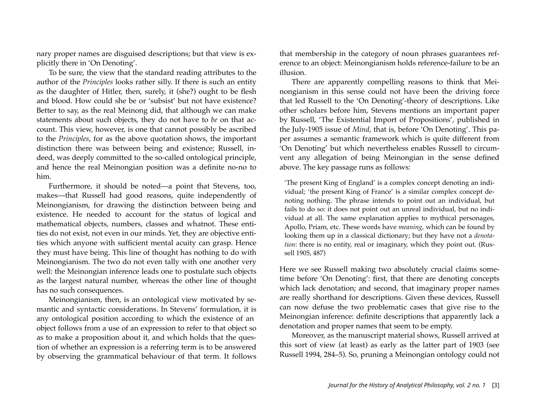nary proper names are disguised descriptions; but that view is explicitly there in 'On Denoting'.

To be sure, the view that the standard reading attributes to the author of the *Principles* looks rather silly. If there is such an entity as the daughter of Hitler, then, surely, it (she?) ought to be flesh and blood. How could she be or 'subsist' but not have existence? Better to say, as the real Meinong did, that although we can make statements about such objects, they do not have to *be* on that account. This view, however, is one that cannot possibly be ascribed to the *Principles*, for as the above quotation shows, the important distinction there was between being and existence; Russell, indeed, was deeply committed to the so-called ontological principle, and hence the real Meinongian position was a definite no-no to him.

Furthermore, it should be noted—a point that Stevens, too, makes—that Russell had good reasons, quite independently of Meinongianism, for drawing the distinction between being and existence. He needed to account for the status of logical and mathematical objects, numbers, classes and whatnot. These entities do not exist, not even in our minds. Yet, they are objective entities which anyone with sufficient mental acuity can grasp. Hence they must have being. This line of thought has nothing to do with Meinongianism. The two do not even tally with one another very well: the Meinongian inference leads one to postulate such objects as the largest natural number, whereas the other line of thought has no such consequences.

Meinongianism, then, is an ontological view motivated by semantic and syntactic considerations. In Stevens' formulation, it is any ontological position according to which the existence of an object follows from a use of an expression to refer to that object so as to make a proposition about it, and which holds that the question of whether an expression is a referring term is to be answered by observing the grammatical behaviour of that term. It follows that membership in the category of noun phrases guarantees reference to an object: Meinongianism holds reference-failure to be an illusion.

There are apparently compelling reasons to think that Meinongianism in this sense could not have been the driving force that led Russell to the 'On Denoting'-theory of descriptions. Like other scholars before him, Stevens mentions an important paper by Russell, 'The Existential Import of Propositions', published in the July-1905 issue of *Mind*, that is, before 'On Denoting'. This paper assumes a semantic framework which is quite different from 'On Denoting' but which nevertheless enables Russell to circumvent any allegation of being Meinongian in the sense defined above. The key passage runs as follows:

'The present King of England' is a complex concept denoting an individual; 'the present King of France' is a similar complex concept denoting nothing. The phrase intends to point out an individual, but fails to do so: it does not point out an unreal individual, but no individual at all. The same explanation applies to mythical personages, Apollo, Priam, etc. These words have *meaning*, which can be found by looking them up in a classical dictionary; but they have not a *denotation*: there is no entity, real or imaginary, which they point out. (Russell 1905, 487)

Here we see Russell making two absolutely crucial claims sometime before 'On Denoting': first, that there are denoting concepts which lack denotation; and second, that imaginary proper names are really shorthand for descriptions. Given these devices, Russell can now defuse the two problematic cases that give rise to the Meinongian inference: definite descriptions that apparently lack a denotation and proper names that seem to be empty.

Moreover, as the manuscript material shows, Russell arrived at this sort of view (at least) as early as the latter part of 1903 (see Russell 1994, 284–5). So, pruning a Meinongian ontology could not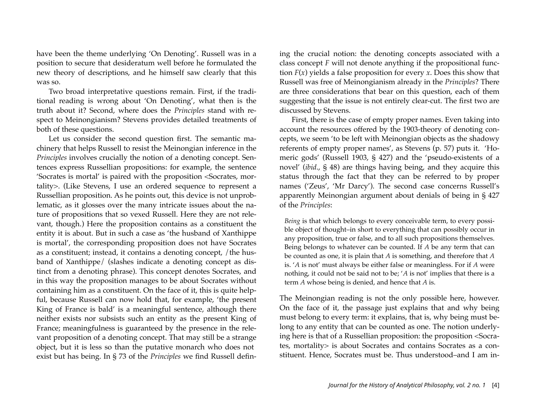have been the theme underlying 'On Denoting'. Russell was in a position to secure that desideratum well before he formulated the new theory of descriptions, and he himself saw clearly that this was so.

Two broad interpretative questions remain. First, if the traditional reading is wrong about 'On Denoting', what then is the truth about it? Second, where does the *Principles* stand with respect to Meinongianism? Stevens provides detailed treatments of both of these questions.

Let us consider the second question first. The semantic machinery that helps Russell to resist the Meinongian inference in the *Principles* involves crucially the notion of a denoting concept. Sentences express Russellian propositions: for example, the sentence 'Socrates is mortal' is paired with the proposition <Socrates, mortality>. (Like Stevens, I use an ordered sequence to represent a Russellian proposition. As he points out, this device is not unproblematic, as it glosses over the many intricate issues about the nature of propositions that so vexed Russell. Here they are not relevant, though.) Here the proposition contains as a constituent the entity it is about. But in such a case as 'the husband of Xanthippe is mortal', the corresponding proposition does not have Socrates as a constituent; instead, it contains a denoting concept, /the husband of Xanthippe/ (slashes indicate a denoting concept as distinct from a denoting phrase). This concept denotes Socrates, and in this way the proposition manages to be about Socrates without containing him as a constituent. On the face of it, this is quite helpful, because Russell can now hold that, for example, 'the present King of France is bald' is a meaningful sentence, although there neither exists nor subsists such an entity as the present King of France; meaningfulness is guaranteed by the presence in the relevant proposition of a denoting concept. That may still be a strange object, but it is less so than the putative monarch who does not exist but has being. In § 73 of the *Principles* we find Russell defining the crucial notion: the denoting concepts associated with a class concept *F* will not denote anything if the propositional function  $F(x)$  yields a false proposition for every *x*. Does this show that Russell was free of Meinongianism already in the *Principles*? There are three considerations that bear on this question, each of them suggesting that the issue is not entirely clear-cut. The first two are discussed by Stevens.

First, there is the case of empty proper names. Even taking into account the resources offered by the 1903-theory of denoting concepts, we seem 'to be left with Meinongian objects as the shadowy referents of empty proper names', as Stevens (p. 57) puts it. 'Homeric gods' (Russell 1903, § 427) and the 'pseudo-existents of a novel' (*ibid*., § 48) are things having being, and they acquire this status through the fact that they can be referred to by proper names ('Zeus', 'Mr Darcy'). The second case concerns Russell's apparently Meinongian argument about denials of being in § 427 of the *Principles*:

*Being* is that which belongs to every conceivable term, to every possible object of thought–in short to everything that can possibly occur in any proposition, true or false, and to all such propositions themselves. Being belongs to whatever can be counted. If *A* be any term that can be counted as one, it is plain that *A* is something, and therefore that *A* is. '*A* is not' must always be either false or meaningless. For if *A* were nothing, it could not be said not to be; '*A* is not' implies that there is a term *A* whose being is denied, and hence that *A* is.

The Meinongian reading is not the only possible here, however. On the face of it, the passage just explains that and why being must belong to every term: it explains, that is, why being must belong to any entity that can be counted as one. The notion underlying here is that of a Russellian proposition: the proposition <Socrates, mortality> is about Socrates and contains Socrates as a constituent. Hence, Socrates must be. Thus understood–and I am in-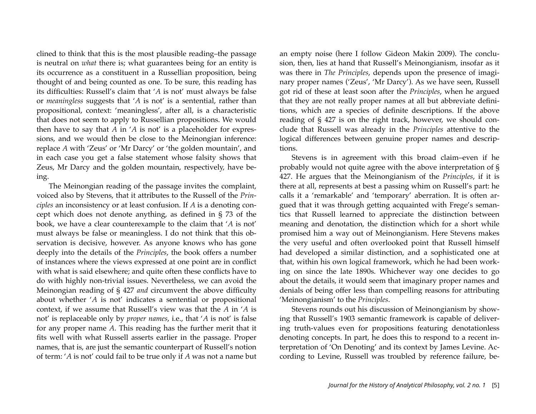clined to think that this is the most plausible reading–the passage is neutral on *what* there is; what guarantees being for an entity is its occurrence as a constituent in a Russellian proposition, being thought of and being counted as one. To be sure, this reading has its difficulties: Russell's claim that '*A* is not' must always be false or *meaningless* suggests that '*A* is not' is a sentential, rather than propositional, context: 'meaningless', after all, is a characteristic that does not seem to apply to Russellian propositions. We would then have to say that *A* in '*A* is not' is a placeholder for expressions, and we would then be close to the Meinongian inference: replace *A* with 'Zeus' or 'Mr Darcy' or 'the golden mountain', and in each case you get a false statement whose falsity shows that Zeus, Mr Darcy and the golden mountain, respectively, have being.

The Meinongian reading of the passage invites the complaint, voiced also by Stevens, that it attributes to the Russell of the *Principles* an inconsistency or at least confusion. If *A* is a denoting concept which does not denote anything, as defined in § 73 of the book, we have a clear counterexample to the claim that '*A* is not' must always be false or meaningless. I do not think that this observation is decisive, however. As anyone knows who has gone deeply into the details of the *Principles*, the book offers a number of instances where the views expressed at one point are in conflict with what is said elsewhere; and quite often these conflicts have to do with highly non-trivial issues. Nevertheless, we can avoid the Meinongian reading of § 427 *and* circumvent the above difficulty about whether '*A* is not' indicates a sentential or propositional context, if we assume that Russell's view was that the *A* in '*A* is not' is replaceable only by *proper names*, i.e., that '*A* is not' is false for any proper name *A*. This reading has the further merit that it fits well with what Russell asserts earlier in the passage. Proper names, that is, are just the semantic counterpart of Russell's notion of term: '*A* is not' could fail to be true only if *A* was not a name but an empty noise (here I follow Gideon Makin 2009). The conclusion, then, lies at hand that Russell's Meinongianism, insofar as it was there in *The Principles*, depends upon the presence of imaginary proper names ('Zeus', 'Mr Darcy'). As we have seen, Russell got rid of these at least soon after the *Principles*, when he argued that they are not really proper names at all but abbreviate definitions, which are a species of definite descriptions. If the above reading of § 427 is on the right track, however, we should conclude that Russell was already in the *Principles* attentive to the logical differences between genuine proper names and descriptions.

Stevens is in agreement with this broad claim–even if he probably would not quite agree with the above interpretation of § 427. He argues that the Meinongianism of the *Principles*, if it is there at all, represents at best a passing whim on Russell's part: he calls it a 'remarkable' and 'temporary' aberration. It is often argued that it was through getting acquainted with Frege's semantics that Russell learned to appreciate the distinction between meaning and denotation, the distinction which for a short while promised him a way out of Meinongianism. Here Stevens makes the very useful and often overlooked point that Russell himself had developed a similar distinction, and a sophisticated one at that, within his own logical framework, which he had been working on since the late 1890s. Whichever way one decides to go about the details, it would seem that imaginary proper names and denials of being offer less than compelling reasons for attributing 'Meinongianism' to the *Principles*.

Stevens rounds out his discussion of Meinongianism by showing that Russell's 1903 semantic framework is capable of delivering truth-values even for propositions featuring denotationless denoting concepts. In part, he does this to respond to a recent interpretation of 'On Denoting' and its context by James Levine. According to Levine, Russell was troubled by reference failure, be-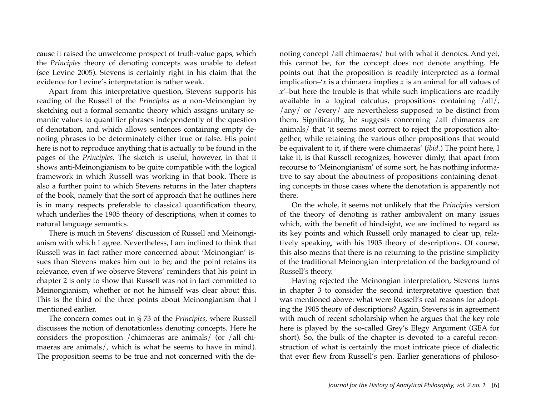cause it raised the unwelcome prospect of truth-value gaps, which the *Principles* theory of denoting concepts was unable to defeat (see Levine 2005). Stevens is certainly right in his claim that the evidence for Levine's interpretation is rather weak.

Apart from this interpretative question, Stevens supports his reading of the Russell of the *Principles* as a non-Meinongian by sketching out a formal semantic theory which assigns unitary semantic values to quantifier phrases independently of the question of denotation, and which allows sentences containing empty denoting phrases to be determinately either true or false. His point here is not to reproduce anything that is actually to be found in the pages of the *Principles*. The sketch is useful, however, in that it shows anti-Meinongianism to be quite compatible with the logical framework in which Russell was working in that book. There is also a further point to which Stevens returns in the later chapters of the book, namely that the sort of approach that he outlines here is in many respects preferable to classical quantification theory, which underlies the 1905 theory of descriptions, when it comes to natural language semantics.

There is much in Stevens' discussion of Russell and Meinongianism with which I agree. Nevertheless, I am inclined to think that Russell was in fact rather more concerned about 'Meinongian' issues than Stevens makes him out to be; and the point retains its relevance, even if we observe Stevens' reminders that his point in chapter 2 is only to show that Russell was not in fact committed to Meinongianism, whether or not he himself was clear about this. This is the third of the three points about Meinongianism that I mentioned earlier.

The concern comes out in § 73 of the *Principles*, where Russell discusses the notion of denotationless denoting concepts. Here he considers the proposition /chimaeras are animals/ (or /all chimaeras are animals/, which is what he seems to have in mind). The proposition seems to be true and not concerned with the denoting concept /all chimaeras/ but with what it denotes. And yet, this cannot be, for the concept does not denote anything. He points out that the proposition is readily interpreted as a formal implication– $'x$  is a chimaera implies  $x$  is an animal for all values of *x*'–but here the trouble is that while such implications are readily available in a logical calculus, propositions containing /all/, /any/ or /every/ are nevertheless supposed to be distinct from them. Significantly, he suggests concerning /all chimaeras are animals/ that 'it seems most correct to reject the proposition altogether, while retaining the various other propositions that would be equivalent to it, if there were chimaeras' (*ibid*.) The point here, I take it, is that Russell recognizes, however dimly, that apart from recourse to 'Meinongianism' of some sort, he has nothing informative to say about the aboutness of propositions containing denoting concepts in those cases where the denotation is apparently not there.

On the whole, it seems not unlikely that the *Principles* version of the theory of denoting is rather ambivalent on many issues which, with the benefit of hindsight, we are inclined to regard as its key points and which Russell only managed to clear up, relatively speaking, with his 1905 theory of descriptions. Of course, this also means that there is no returning to the pristine simplicity of the traditional Meinongian interpretation of the background of Russell's theory.

Having rejected the Meinongian interpretation, Stevens turns in chapter 3 to consider the second interpretative question that was mentioned above: what were Russell's real reasons for adopting the 1905 theory of descriptions? Again, Stevens is in agreement with much of recent scholarship when he argues that the key role here is played by the so-called Grey's Elegy Argument (GEA for short). So, the bulk of the chapter is devoted to a careful reconstruction of what is certainly the most intricate piece of dialectic that ever flew from Russell's pen. Earlier generations of philoso-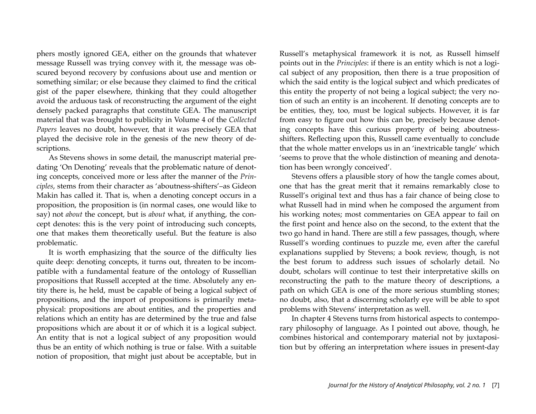phers mostly ignored GEA, either on the grounds that whatever message Russell was trying convey with it, the message was obscured beyond recovery by confusions about use and mention or something similar; or else because they claimed to find the critical gist of the paper elsewhere, thinking that they could altogether avoid the arduous task of reconstructing the argument of the eight densely packed paragraphs that constitute GEA. The manuscript material that was brought to publicity in Volume 4 of the *Collected Papers* leaves no doubt, however, that it was precisely GEA that played the decisive role in the genesis of the new theory of descriptions.

As Stevens shows in some detail, the manuscript material predating 'On Denoting' reveals that the problematic nature of denoting concepts, conceived more or less after the manner of the *Principles*, stems from their character as 'aboutness-shifters'–as Gideon Makin has called it. That is, when a denoting concept occurs in a proposition, the proposition is (in normal cases, one would like to say) not *about* the concept, but is *about* what, if anything, the concept denotes: this is the very point of introducing such concepts, one that makes them theoretically useful. But the feature is also problematic.

It is worth emphasizing that the source of the difficulty lies quite deep: denoting concepts, it turns out, threaten to be incompatible with a fundamental feature of the ontology of Russellian propositions that Russell accepted at the time. Absolutely any entity there is, he held, must be capable of being a logical subject of propositions, and the import of propositions is primarily metaphysical: propositions are about entities, and the properties and relations which an entity has are determined by the true and false propositions which are about it or of which it is a logical subject. An entity that is not a logical subject of any proposition would thus be an entity of which nothing is true or false. With a suitable notion of proposition, that might just about be acceptable, but in Russell's metaphysical framework it is not, as Russell himself points out in the *Principles*: if there is an entity which is not a logical subject of any proposition, then there is a true proposition of which the said entity is the logical subject and which predicates of this entity the property of not being a logical subject; the very notion of such an entity is an incoherent. If denoting concepts are to be entities, they, too, must be logical subjects. However, it is far from easy to figure out how this can be, precisely because denoting concepts have this curious property of being aboutnessshifters. Reflecting upon this, Russell came eventually to conclude that the whole matter envelops us in an 'inextricable tangle' which 'seems to prove that the whole distinction of meaning and denotation has been wrongly conceived'.

Stevens offers a plausible story of how the tangle comes about, one that has the great merit that it remains remarkably close to Russell's original text and thus has a fair chance of being close to what Russell had in mind when he composed the argument from his working notes; most commentaries on GEA appear to fail on the first point and hence also on the second, to the extent that the two go hand in hand. There are still a few passages, though, where Russell's wording continues to puzzle me, even after the careful explanations supplied by Stevens; a book review, though, is not the best forum to address such issues of scholarly detail. No doubt, scholars will continue to test their interpretative skills on reconstructing the path to the mature theory of descriptions, a path on which GEA is one of the more serious stumbling stones; no doubt, also, that a discerning scholarly eye will be able to spot problems with Stevens' interpretation as well.

In chapter 4 Stevens turns from historical aspects to contemporary philosophy of language. As I pointed out above, though, he combines historical and contemporary material not by juxtaposition but by offering an interpretation where issues in present-day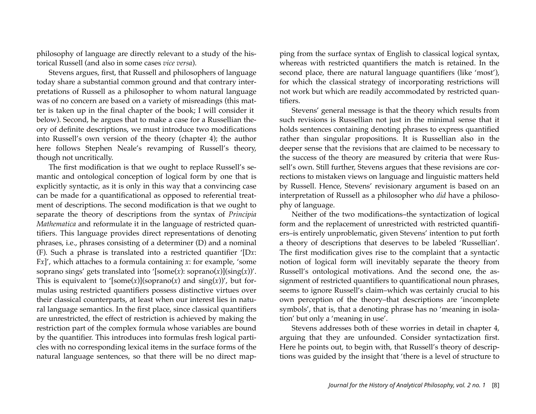philosophy of language are directly relevant to a study of the historical Russell (and also in some cases *vice versa*).

Stevens argues, first, that Russell and philosophers of language today share a substantial common ground and that contrary interpretations of Russell as a philosopher to whom natural language was of no concern are based on a variety of misreadings (this matter is taken up in the final chapter of the book; I will consider it below). Second, he argues that to make a case for a Russellian theory of definite descriptions, we must introduce two modifications into Russell's own version of the theory (chapter 4); the author here follows Stephen Neale's revamping of Russell's theory, though not uncritically.

The first modification is that we ought to replace Russell's semantic and ontological conception of logical form by one that is explicitly syntactic, as it is only in this way that a convincing case can be made for a quantificational as opposed to referential treatment of descriptions. The second modification is that we ought to separate the theory of descriptions from the syntax of *Principia Mathematica* and reformulate it in the language of restricted quantifiers. This language provides direct representations of denoting phrases, i.e., phrases consisting of a determiner (D) and a nominal (F). Such a phrase is translated into a restricted quantifier '[D*x*: F*x*]', which attaches to a formula containing *x*: for example, 'some soprano sings' gets translated into '[some(*x*): soprano(*x*)](sing(*x*))'. This is equivalent to '[some(*x*)](soprano(*x*) and sing(*x*))', but formulas using restricted quantifiers possess distinctive virtues over their classical counterparts, at least when our interest lies in natural language semantics. In the first place, since classical quantifiers are unrestricted, the effect of restriction is achieved by making the restriction part of the complex formula whose variables are bound by the quantifier. This introduces into formulas fresh logical particles with no corresponding lexical items in the surface forms of the natural language sentences, so that there will be no direct mapping from the surface syntax of English to classical logical syntax, whereas with restricted quantifiers the match is retained. In the second place, there are natural language quantifiers (like 'most'), for which the classical strategy of incorporating restrictions will not work but which are readily accommodated by restricted quantifiers.

Stevens' general message is that the theory which results from such revisions is Russellian not just in the minimal sense that it holds sentences containing denoting phrases to express quantified rather than singular propositions. It is Russellian also in the deeper sense that the revisions that are claimed to be necessary to the success of the theory are measured by criteria that were Russell's own. Still further, Stevens argues that these revisions are corrections to mistaken views on language and linguistic matters held by Russell. Hence, Stevens' revisionary argument is based on an interpretation of Russell as a philosopher who *did* have a philosophy of language.

Neither of the two modifications–the syntactization of logical form and the replacement of unrestricted with restricted quantifiers–is entirely unproblematic, given Stevens' intention to put forth a theory of descriptions that deserves to be labeled 'Russellian'. The first modification gives rise to the complaint that a syntactic notion of logical form will inevitably separate the theory from Russell's ontological motivations. And the second one, the assignment of restricted quantifiers to quantificational noun phrases, seems to ignore Russell's claim–which was certainly crucial to his own perception of the theory–that descriptions are 'incomplete symbols', that is, that a denoting phrase has no 'meaning in isolation' but only a 'meaning in use'.

Stevens addresses both of these worries in detail in chapter 4, arguing that they are unfounded. Consider syntactization first. Here he points out, to begin with, that Russell's theory of descriptions was guided by the insight that 'there is a level of structure to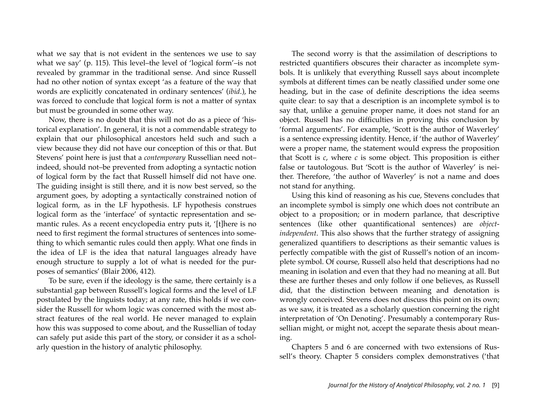what we say that is not evident in the sentences we use to say what we say' (p. 115). This level–the level of 'logical form'–is not revealed by grammar in the traditional sense. And since Russell had no other notion of syntax except 'as a feature of the way that words are explicitly concatenated in ordinary sentences' (*ibid*.), he was forced to conclude that logical form is not a matter of syntax but must be grounded in some other way.

Now, there is no doubt that this will not do as a piece of 'historical explanation'. In general, it is not a commendable strategy to explain that our philosophical ancestors held such and such a view because they did not have our conception of this or that. But Stevens' point here is just that a *contemporary* Russellian need not– indeed, should not–be prevented from adopting a syntactic notion of logical form by the fact that Russell himself did not have one. The guiding insight is still there, and it is now best served, so the argument goes, by adopting a syntactically constrained notion of logical form, as in the LF hypothesis. LF hypothesis construes logical form as the 'interface' of syntactic representation and semantic rules. As a recent encyclopedia entry puts it, '[t]here is no need to first regiment the formal structures of sentences into something to which semantic rules could then apply. What one finds in the idea of LF is the idea that natural languages already have enough structure to supply a lot of what is needed for the purposes of semantics' (Blair 2006, 412).

To be sure, even if the ideology is the same, there certainly is a substantial gap between Russell's logical forms and the level of LF postulated by the linguists today; at any rate, this holds if we consider the Russell for whom logic was concerned with the most abstract features of the real world. He never managed to explain how this was supposed to come about, and the Russellian of today can safely put aside this part of the story, or consider it as a scholarly question in the history of analytic philosophy.

The second worry is that the assimilation of descriptions to restricted quantifiers obscures their character as incomplete symbols. It is unlikely that everything Russell says about incomplete symbols at different times can be neatly classified under some one heading, but in the case of definite descriptions the idea seems quite clear: to say that a description is an incomplete symbol is to say that, unlike a genuine proper name, it does not stand for an object. Russell has no difficulties in proving this conclusion by 'formal arguments'. For example, 'Scott is the author of Waverley' is a sentence expressing identity. Hence, if 'the author of Waverley' were a proper name, the statement would express the proposition that Scott is *c*, where *c* is some object. This proposition is either false or tautologous. But 'Scott is the author of Waverley' is neither. Therefore, 'the author of Waverley' is not a name and does not stand for anything.

Using this kind of reasoning as his cue, Stevens concludes that an incomplete symbol is simply one which does not contribute an object to a proposition; or in modern parlance, that descriptive sentences (like other quantificational sentences) are *objectindependent*. This also shows that the further strategy of assigning generalized quantifiers to descriptions as their semantic values is perfectly compatible with the gist of Russell's notion of an incomplete symbol. Of course, Russell also held that descriptions had no meaning in isolation and even that they had no meaning at all. But these are further theses and only follow if one believes, as Russell did, that the distinction between meaning and denotation is wrongly conceived. Stevens does not discuss this point on its own; as we saw, it is treated as a scholarly question concerning the right interpretation of 'On Denoting'. Presumably a contemporary Russellian might, or might not, accept the separate thesis about meaning.

Chapters 5 and 6 are concerned with two extensions of Russell's theory. Chapter 5 considers complex demonstratives ('that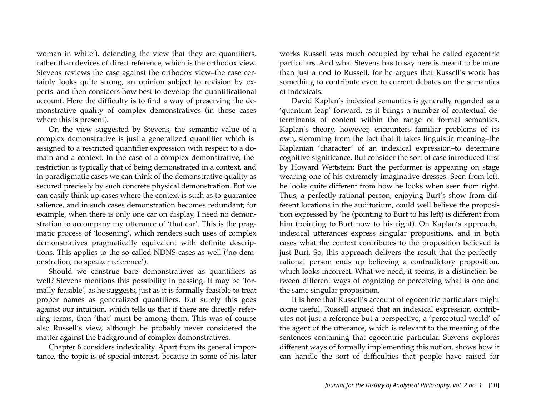woman in white'), defending the view that they are quantifiers, rather than devices of direct reference, which is the orthodox view. Stevens reviews the case against the orthodox view–the case certainly looks quite strong, an opinion subject to revision by experts–and then considers how best to develop the quantificational account. Here the difficulty is to find a way of preserving the demonstrative quality of complex demonstratives (in those cases where this is present).

On the view suggested by Stevens, the semantic value of a complex demonstrative is just a generalized quantifier which is assigned to a restricted quantifier expression with respect to a domain and a context. In the case of a complex demonstrative, the restriction is typically that of being demonstrated in a context, and in paradigmatic cases we can think of the demonstrative quality as secured precisely by such concrete physical demonstration. But we can easily think up cases where the context is such as to guarantee salience, and in such cases demonstration becomes redundant; for example, when there is only one car on display, I need no demonstration to accompany my utterance of 'that car'. This is the pragmatic process of 'loosening', which renders such uses of complex demonstratives pragmatically equivalent with definite descriptions. This applies to the so-called NDNS-cases as well ('no demonstration, no speaker reference').

Should we construe bare demonstratives as quantifiers as well? Stevens mentions this possibility in passing. It may be 'formally feasible', as he suggests, just as it is formally feasible to treat proper names as generalized quantifiers. But surely this goes against our intuition, which tells us that if there are directly referring terms, then 'that' must be among them. This was of course also Russell's view, although he probably never considered the matter against the background of complex demonstratives.

Chapter 6 considers indexicality. Apart from its general importance, the topic is of special interest, because in some of his later works Russell was much occupied by what he called egocentric particulars. And what Stevens has to say here is meant to be more than just a nod to Russell, for he argues that Russell's work has something to contribute even to current debates on the semantics of indexicals.

David Kaplan's indexical semantics is generally regarded as a 'quantum leap' forward, as it brings a number of contextual determinants of content within the range of formal semantics. Kaplan's theory, however, encounters familiar problems of its own, stemming from the fact that it takes linguistic meaning–the Kaplanian 'character' of an indexical expression–to determine cognitive significance. But consider the sort of case introduced first by Howard Wettstein: Burt the performer is appearing on stage wearing one of his extremely imaginative dresses. Seen from left, he looks quite different from how he looks when seen from right. Thus, a perfectly rational person, enjoying Burt's show from different locations in the auditorium, could well believe the proposition expressed by 'he (pointing to Burt to his left) is different from him (pointing to Burt now to his right). On Kaplan's approach, indexical utterances express singular propositions, and in both cases what the context contributes to the proposition believed is just Burt. So, this approach delivers the result that the perfectly rational person ends up believing a contradictory proposition, which looks incorrect. What we need, it seems, is a distinction between different ways of cognizing or perceiving what is one and the same singular proposition.

It is here that Russell's account of egocentric particulars might come useful. Russell argued that an indexical expression contributes not just a reference but a perspective, a 'perceptual world' of the agent of the utterance, which is relevant to the meaning of the sentences containing that egocentric particular. Stevens explores different ways of formally implementing this notion, shows how it can handle the sort of difficulties that people have raised for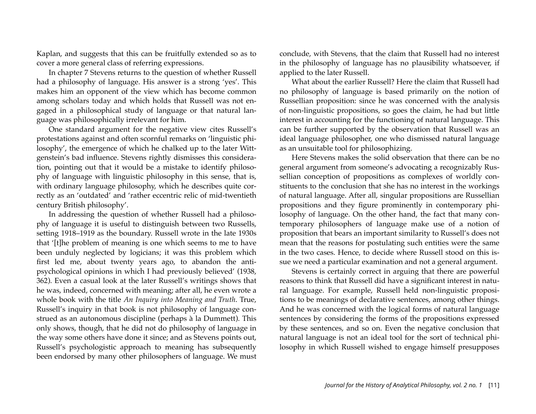Kaplan, and suggests that this can be fruitfully extended so as to cover a more general class of referring expressions.

In chapter 7 Stevens returns to the question of whether Russell had a philosophy of language. His answer is a strong 'yes'. This makes him an opponent of the view which has become common among scholars today and which holds that Russell was not engaged in a philosophical study of language or that natural language was philosophically irrelevant for him.

One standard argument for the negative view cites Russell's protestations against and often scornful remarks on 'linguistic philosophy', the emergence of which he chalked up to the later Wittgenstein's bad influence. Stevens rightly dismisses this consideration, pointing out that it would be a mistake to identify philosophy of language with linguistic philosophy in this sense, that is, with ordinary language philosophy, which he describes quite correctly as an 'outdated' and 'rather eccentric relic of mid-twentieth century British philosophy'.

In addressing the question of whether Russell had a philosophy of language it is useful to distinguish between two Russells, setting 1918–1919 as the boundary. Russell wrote in the late 1930s that '[t]he problem of meaning is one which seems to me to have been unduly neglected by logicians; it was this problem which first led me, about twenty years ago, to abandon the antipsychological opinions in which I had previously believed' (1938, 362). Even a casual look at the later Russell's writings shows that he was, indeed, concerned with meaning; after all, he even wrote a whole book with the title *An Inquiry into Meaning and Truth*. True, Russell's inquiry in that book is not philosophy of language construed as an autonomous discipline (perhaps à la Dummett). This only shows, though, that he did not do philosophy of language in the way some others have done it since; and as Stevens points out, Russell's psychologistic approach to meaning has subsequently been endorsed by many other philosophers of language. We must conclude, with Stevens, that the claim that Russell had no interest in the philosophy of language has no plausibility whatsoever, if applied to the later Russell.

What about the earlier Russell? Here the claim that Russell had no philosophy of language is based primarily on the notion of Russellian proposition: since he was concerned with the analysis of non-linguistic propositions, so goes the claim, he had but little interest in accounting for the functioning of natural language. This can be further supported by the observation that Russell was an ideal language philosopher, one who dismissed natural language as an unsuitable tool for philosophizing.

Here Stevens makes the solid observation that there can be no general argument from someone's advocating a recognizably Russellian conception of propositions as complexes of worldly constituents to the conclusion that she has no interest in the workings of natural language. After all, singular propositions are Russellian propositions and they figure prominently in contemporary philosophy of language. On the other hand, the fact that many contemporary philosophers of language make use of a notion of proposition that bears an important similarity to Russell's does not mean that the reasons for postulating such entities were the same in the two cases. Hence, to decide where Russell stood on this issue we need a particular examination and not a general argument.

Stevens is certainly correct in arguing that there are powerful reasons to think that Russell did have a significant interest in natural language. For example, Russell held non-linguistic propositions to be meanings of declarative sentences, among other things. And he was concerned with the logical forms of natural language sentences by considering the forms of the propositions expressed by these sentences, and so on. Even the negative conclusion that natural language is not an ideal tool for the sort of technical philosophy in which Russell wished to engage himself presupposes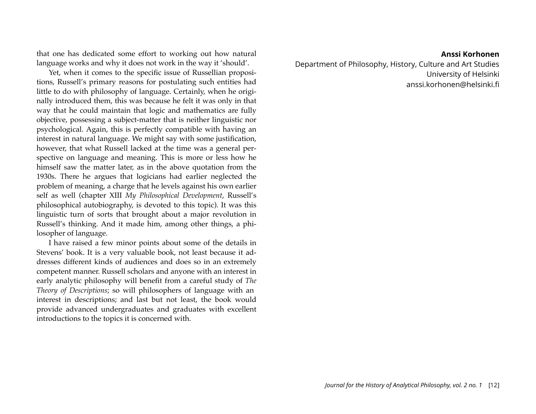that one has dedicated some effort to working out how natural language works and why it does not work in the way it 'should'.

Yet, when it comes to the specific issue of Russellian propositions, Russell's primary reasons for postulating such entities had little to do with philosophy of language. Certainly, when he originally introduced them, this was because he felt it was only in that way that he could maintain that logic and mathematics are fully objective, possessing a subject-matter that is neither linguistic nor psychological. Again, this is perfectly compatible with having an interest in natural language. We might say with some justification, however, that what Russell lacked at the time was a general perspective on language and meaning. This is more or less how he himself saw the matter later, as in the above quotation from the 1930s. There he argues that logicians had earlier neglected the problem of meaning, a charge that he levels against his own earlier self as well (chapter XIII *My Philosophical Development*, Russell's philosophical autobiography, is devoted to this topic). It was this linguistic turn of sorts that brought about a major revolution in Russell's thinking. And it made him, among other things, a philosopher of language.

I have raised a few minor points about some of the details in Stevens' book. It is a very valuable book, not least because it addresses different kinds of audiences and does so in an extremely competent manner. Russell scholars and anyone with an interest in early analytic philosophy will benefit from a careful study of *The Theory of Descriptions*; so will philosophers of language with an interest in descriptions; and last but not least, the book would provide advanced undergraduates and graduates with excellent introductions to the topics it is concerned with.

#### **Anssi Korhonen**

Department of Philosophy, History, Culture and Art Studies University of Helsinki anssi.korhonen@helsinki.fi